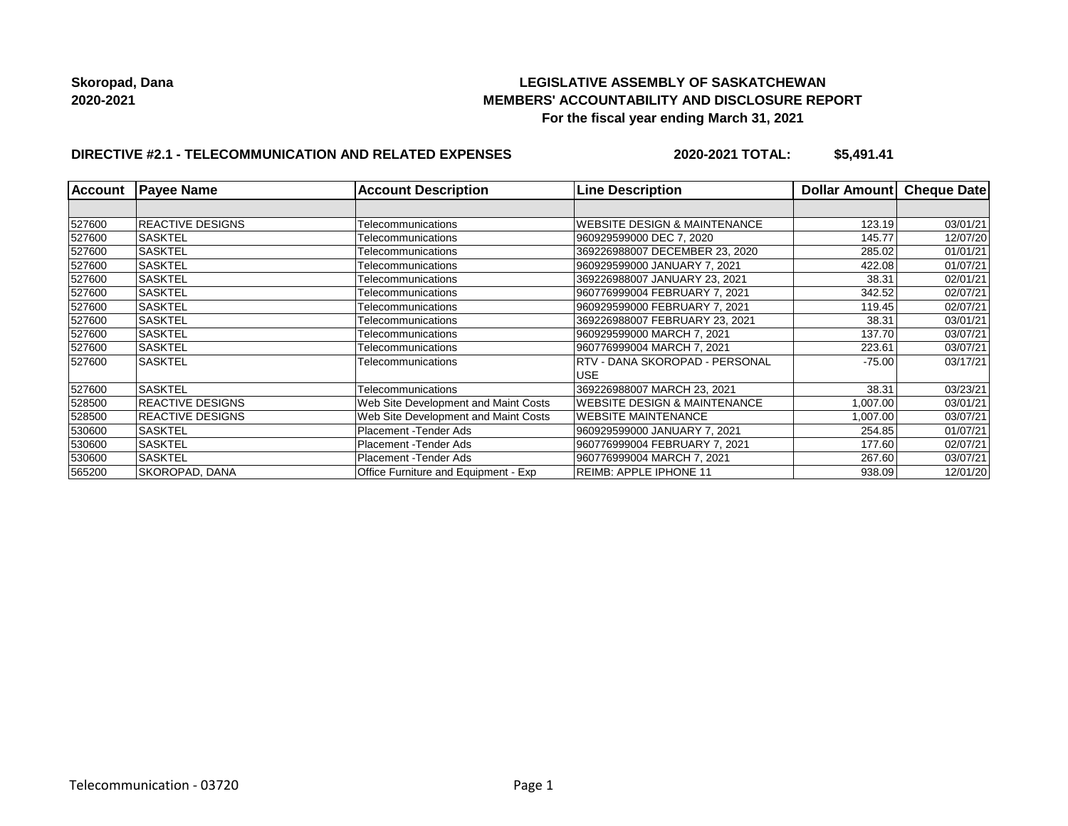## **LEGISLATIVE ASSEMBLY OF SASKATCHEWAN MEMBERS' ACCOUNTABILITY AND DISCLOSURE REPORT For the fiscal year ending March 31, 2021**

# **DIRECTIVE #2.1 - TELECOMMUNICATION AND RELATED EXPENSES**

**2020-2021 TOTAL: \$5,491.41**

| <b>Account</b> | <b>Payee Name</b>       | <b>Account Description</b>           | <b>Line Description</b>                 | <b>Dollar Amount</b> | Cheque Date |
|----------------|-------------------------|--------------------------------------|-----------------------------------------|----------------------|-------------|
|                |                         |                                      |                                         |                      |             |
| 527600         | <b>REACTIVE DESIGNS</b> | Telecommunications                   | <b>WEBSITE DESIGN &amp; MAINTENANCE</b> | 123.19               | 03/01/21    |
| 527600         | ISASKTEL                | Telecommunications                   | 960929599000 DEC 7, 2020                | 145.77               | 12/07/20    |
| 527600         | <b>SASKTEL</b>          | Telecommunications                   | 369226988007 DECEMBER 23, 2020          | 285.02               | 01/01/21    |
| 527600         | <b>SASKTEL</b>          | Telecommunications                   | 960929599000 JANUARY 7, 2021            | 422.08               | 01/07/21    |
| 527600         | <b>SASKTEL</b>          | Telecommunications                   | 369226988007 JANUARY 23, 2021           | 38.31                | 02/01/21    |
| 527600         | <b>SASKTEL</b>          | Telecommunications                   | 960776999004 FEBRUARY 7. 2021           | 342.52               | 02/07/21    |
| 527600         | <b>SASKTEL</b>          | Telecommunications                   | 960929599000 FEBRUARY 7, 2021           | 119.45               | 02/07/21    |
| 527600         | <b>SASKTEL</b>          | Telecommunications                   | 369226988007 FEBRUARY 23, 2021          | 38.31                | 03/01/21    |
| 527600         | <b>SASKTEL</b>          | Telecommunications                   | 960929599000 MARCH 7, 2021              | 137.70               | 03/07/21    |
| 527600         | <b>SASKTEL</b>          | Telecommunications                   | 960776999004 MARCH 7, 2021              | 223.61               | 03/07/21    |
| 527600         | <b>SASKTEL</b>          | Telecommunications                   | RTV - DANA SKOROPAD - PERSONAL          | $-75.00$             | 03/17/21    |
|                |                         |                                      | <b>USE</b>                              |                      |             |
| 527600         | <b>SASKTEL</b>          | Telecommunications                   | 369226988007 MARCH 23, 2021             | 38.31                | 03/23/21    |
| 528500         | <b>REACTIVE DESIGNS</b> | Web Site Development and Maint Costs | <b>WEBSITE DESIGN &amp; MAINTENANCE</b> | 1,007.00             | 03/01/21    |
| 528500         | <b>REACTIVE DESIGNS</b> | Web Site Development and Maint Costs | <b>WEBSITE MAINTENANCE</b>              | 1,007.00             | 03/07/21    |
| 530600         | <b>SASKTEL</b>          | Placement - Tender Ads               | 960929599000 JANUARY 7, 2021            | 254.85               | 01/07/21    |
| 530600         | <b>SASKTEL</b>          | Placement - Tender Ads               | 960776999004 FEBRUARY 7, 2021           | 177.60               | 02/07/21    |
| 530600         | <b>SASKTEL</b>          | Placement - Tender Ads               | 960776999004 MARCH 7, 2021              | 267.60               | 03/07/21    |
| 565200         | <b>SKOROPAD, DANA</b>   | Office Furniture and Equipment - Exp | <b>REIMB: APPLE IPHONE 11</b>           | 938.09               | 12/01/20    |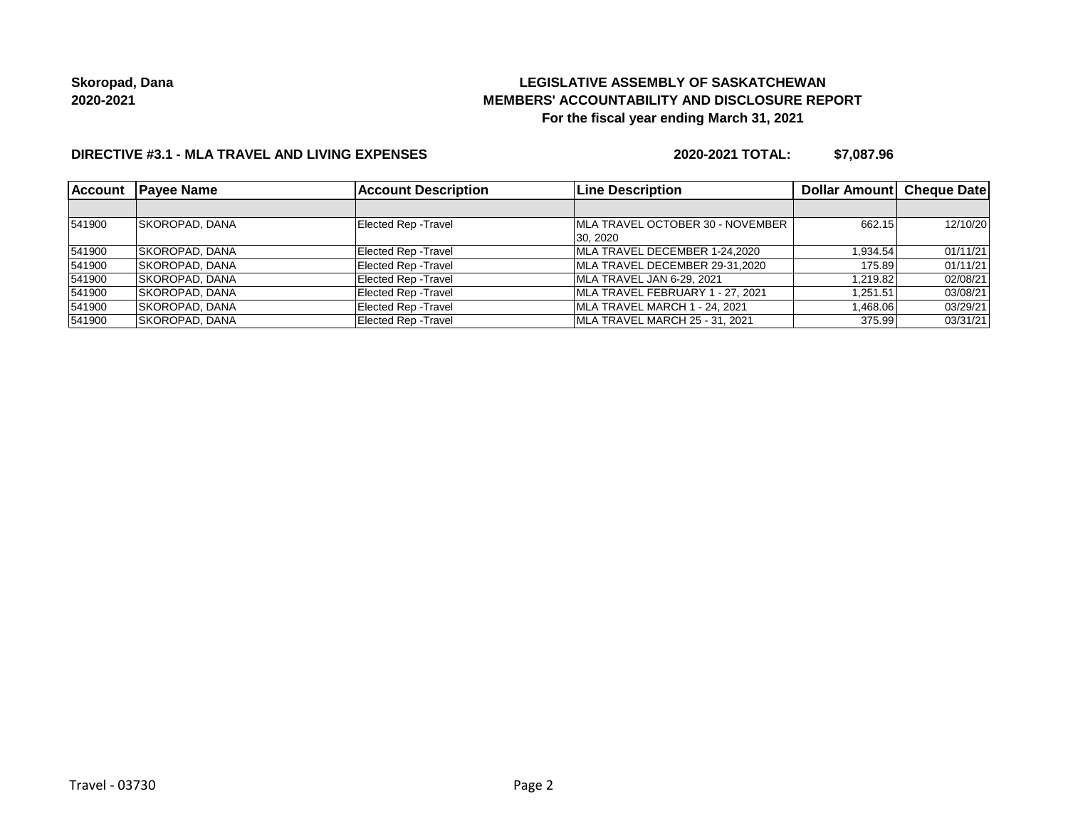# **LEGISLATIVE ASSEMBLY OF SASKATCHEWAN MEMBERS' ACCOUNTABILITY AND DISCLOSURE REPORT For the fiscal year ending March 31, 2021**

### **DIRECTIVE #3.1 - MLA TRAVEL AND LIVING EXPENSES**

**2020-2021 TOTAL: \$7,087.96**

| <b>Account</b> | <b>Pavee Name</b>     | <b>Account Description</b>  | <b>Line Description</b>          | Dollar Amount   Cheque Date |          |
|----------------|-----------------------|-----------------------------|----------------------------------|-----------------------------|----------|
|                |                       |                             |                                  |                             |          |
| 541900         | <b>SKOROPAD, DANA</b> | Elected Rep - Travel        | MLA TRAVEL OCTOBER 30 - NOVEMBER | 662.15                      | 12/10/20 |
|                |                       |                             | 30, 2020                         |                             |          |
| 541900         | <b>SKOROPAD, DANA</b> | Elected Rep - Travel        | MLA TRAVEL DECEMBER 1-24.2020    | 1.934.54                    | 01/11/21 |
| 541900         | <b>SKOROPAD, DANA</b> | <b>Elected Rep - Travel</b> | MLA TRAVEL DECEMBER 29-31.2020   | 175.89                      | 01/11/21 |
| 541900         | <b>SKOROPAD, DANA</b> | <b>Elected Rep - Travel</b> | MLA TRAVEL JAN 6-29, 2021        | 1.219.82                    | 02/08/21 |
| 541900         | SKOROPAD, DANA        | <b>Elected Rep - Travel</b> | MLA TRAVEL FEBRUARY 1 - 27, 2021 | 1,251.51                    | 03/08/21 |
| 541900         | <b>SKOROPAD, DANA</b> | <b>Elected Rep - Travel</b> | MLA TRAVEL MARCH 1 - 24, 2021    | 1,468.06                    | 03/29/21 |
| 541900         | ISKOROPAD. DANA       | <b>Elected Rep - Travel</b> | MLA TRAVEL MARCH 25 - 31, 2021   | 375.99                      | 03/31/21 |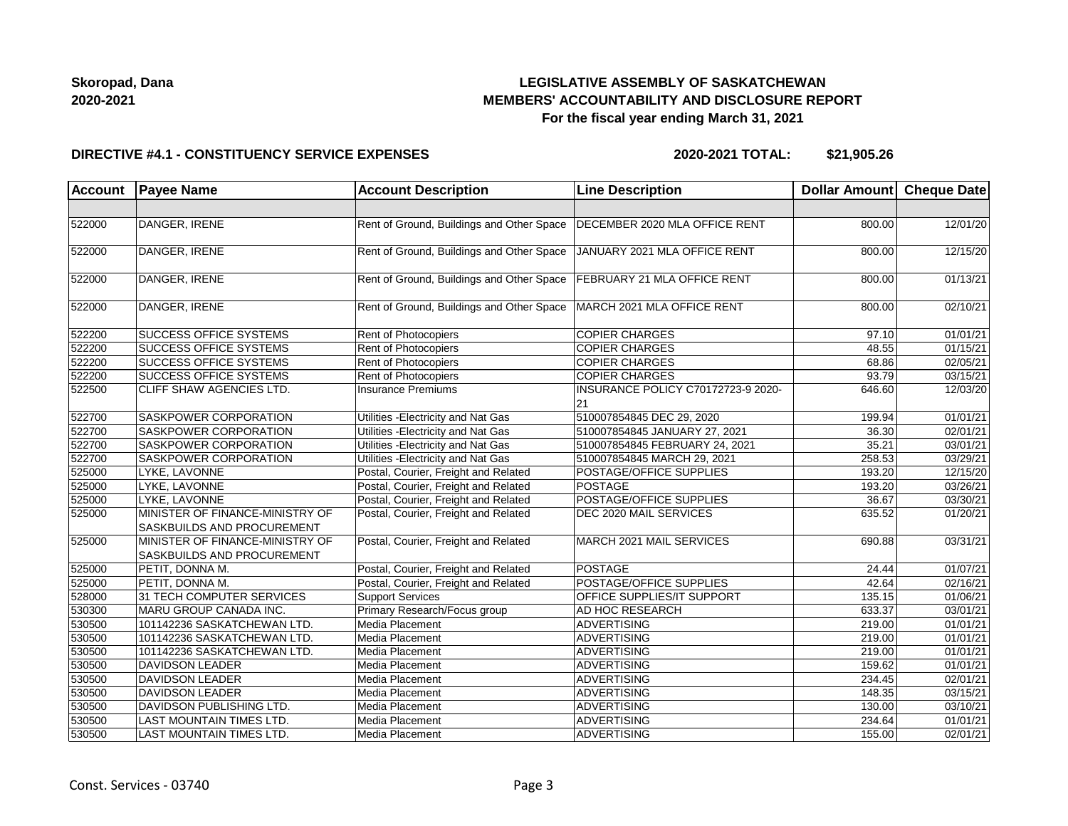## **LEGISLATIVE ASSEMBLY OF SASKATCHEWAN MEMBERS' ACCOUNTABILITY AND DISCLOSURE REPORT For the fiscal year ending March 31, 2021**

#### **DIRECTIVE #4.1 - CONSTITUENCY SERVICE EXPENSES**

**2020-2021 TOTAL: \$21,905.26**

| <b>Account</b> | <b>Payee Name</b>                                             | <b>Account Description</b>                | <b>Line Description</b>                  | Dollar Amount Cheque Date |          |
|----------------|---------------------------------------------------------------|-------------------------------------------|------------------------------------------|---------------------------|----------|
|                |                                                               |                                           |                                          |                           |          |
| 522000         | DANGER, IRENE                                                 | Rent of Ground, Buildings and Other Space | DECEMBER 2020 MLA OFFICE RENT            | 800.00                    | 12/01/20 |
| 522000         | DANGER, IRENE                                                 | Rent of Ground, Buildings and Other Space | JANUARY 2021 MLA OFFICE RENT             | 800.00                    | 12/15/20 |
| 522000         | DANGER, IRENE                                                 | Rent of Ground, Buildings and Other Space | FEBRUARY 21 MLA OFFICE RENT              | 800.00                    | 01/13/21 |
| 522000         | DANGER, IRENE                                                 | Rent of Ground, Buildings and Other Space | MARCH 2021 MLA OFFICE RENT               | 800.00                    | 02/10/21 |
| 522200         | <b>SUCCESS OFFICE SYSTEMS</b>                                 | Rent of Photocopiers                      | <b>COPIER CHARGES</b>                    | 97.10                     | 01/01/21 |
| 522200         | <b>SUCCESS OFFICE SYSTEMS</b>                                 | <b>Rent of Photocopiers</b>               | <b>COPIER CHARGES</b>                    | 48.55                     | 01/15/21 |
| 522200         | SUCCESS OFFICE SYSTEMS                                        | Rent of Photocopiers                      | <b>COPIER CHARGES</b>                    | 68.86                     | 02/05/21 |
| 522200         | <b>SUCCESS OFFICE SYSTEMS</b>                                 | Rent of Photocopiers                      | <b>COPIER CHARGES</b>                    | 93.79                     | 03/15/21 |
| 522500         | CLIFF SHAW AGENCIES LTD.                                      | Insurance Premiums                        | INSURANCE POLICY C70172723-9 2020-<br>21 | 646.60                    | 12/03/20 |
| 522700         | <b>SASKPOWER CORPORATION</b>                                  | Utilities - Electricity and Nat Gas       | 510007854845 DEC 29, 2020                | 199.94                    | 01/01/21 |
| 522700         | SASKPOWER CORPORATION                                         | Utilities - Electricity and Nat Gas       | 510007854845 JANUARY 27, 2021            | 36.30                     | 02/01/21 |
| 522700         | SASKPOWER CORPORATION                                         | Utilities - Electricity and Nat Gas       | 510007854845 FEBRUARY 24, 2021           | 35.21                     | 03/01/21 |
| 522700         | SASKPOWER CORPORATION                                         | Utilities - Electricity and Nat Gas       | 510007854845 MARCH 29, 2021              | 258.53                    | 03/29/21 |
| 525000         | LYKE, LAVONNE                                                 | Postal, Courier, Freight and Related      | POSTAGE/OFFICE SUPPLIES                  | 193.20                    | 12/15/20 |
| 525000         | LYKE, LAVONNE                                                 | Postal, Courier, Freight and Related      | <b>POSTAGE</b>                           | 193.20                    | 03/26/21 |
| 525000         | LYKE, LAVONNE                                                 | Postal, Courier, Freight and Related      | POSTAGE/OFFICE SUPPLIES                  | 36.67                     | 03/30/21 |
| 525000         | MINISTER OF FINANCE-MINISTRY OF<br>SASKBUILDS AND PROCUREMENT | Postal, Courier, Freight and Related      | DEC 2020 MAIL SERVICES                   | 635.52                    | 01/20/21 |
| 525000         | MINISTER OF FINANCE-MINISTRY OF<br>SASKBUILDS AND PROCUREMENT | Postal, Courier, Freight and Related      | MARCH 2021 MAIL SERVICES                 | 690.88                    | 03/31/21 |
| 525000         | PETIT, DONNA M.                                               | Postal, Courier, Freight and Related      | POSTAGE                                  | 24.44                     | 01/07/21 |
| 525000         | PETIT, DONNA M.                                               | Postal, Courier, Freight and Related      | POSTAGE/OFFICE SUPPLIES                  | 42.64                     | 02/16/21 |
| 528000         | 31 TECH COMPUTER SERVICES                                     | <b>Support Services</b>                   | OFFICE SUPPLIES/IT SUPPORT               | 135.15                    | 01/06/21 |
| 530300         | MARU GROUP CANADA INC.                                        | Primary Research/Focus group              | AD HOC RESEARCH                          | 633.37                    | 03/01/21 |
| 530500         | 101142236 SASKATCHEWAN LTD.                                   | Media Placement                           | <b>ADVERTISING</b>                       | 219.00                    | 01/01/21 |
| 530500         | 101142236 SASKATCHEWAN LTD.                                   | Media Placement                           | ADVERTISING                              | 219.00                    | 01/01/21 |
| 530500         | 101142236 SASKATCHEWAN LTD.                                   | Media Placement                           | <b>ADVERTISING</b>                       | 219.00                    | 01/01/21 |
| 530500         | <b>DAVIDSON LEADER</b>                                        | Media Placement                           | ADVERTISING                              | 159.62                    | 01/01/21 |
| 530500         | <b>DAVIDSON LEADER</b>                                        | Media Placement                           | ADVERTISING                              | 234.45                    | 02/01/21 |
| 530500         | <b>DAVIDSON LEADER</b>                                        | Media Placement                           | ADVERTISING                              | 148.35                    | 03/15/21 |
| 530500         | <b>DAVIDSON PUBLISHING LTD.</b>                               | Media Placement                           | <b>ADVERTISING</b>                       | 130.00                    | 03/10/21 |
| 530500         | <b>LAST MOUNTAIN TIMES LTD.</b>                               | Media Placement                           | <b>ADVERTISING</b>                       | 234.64                    | 01/01/21 |
| 530500         | <b>LAST MOUNTAIN TIMES LTD.</b>                               | Media Placement                           | ADVERTISING                              | 155.00                    | 02/01/21 |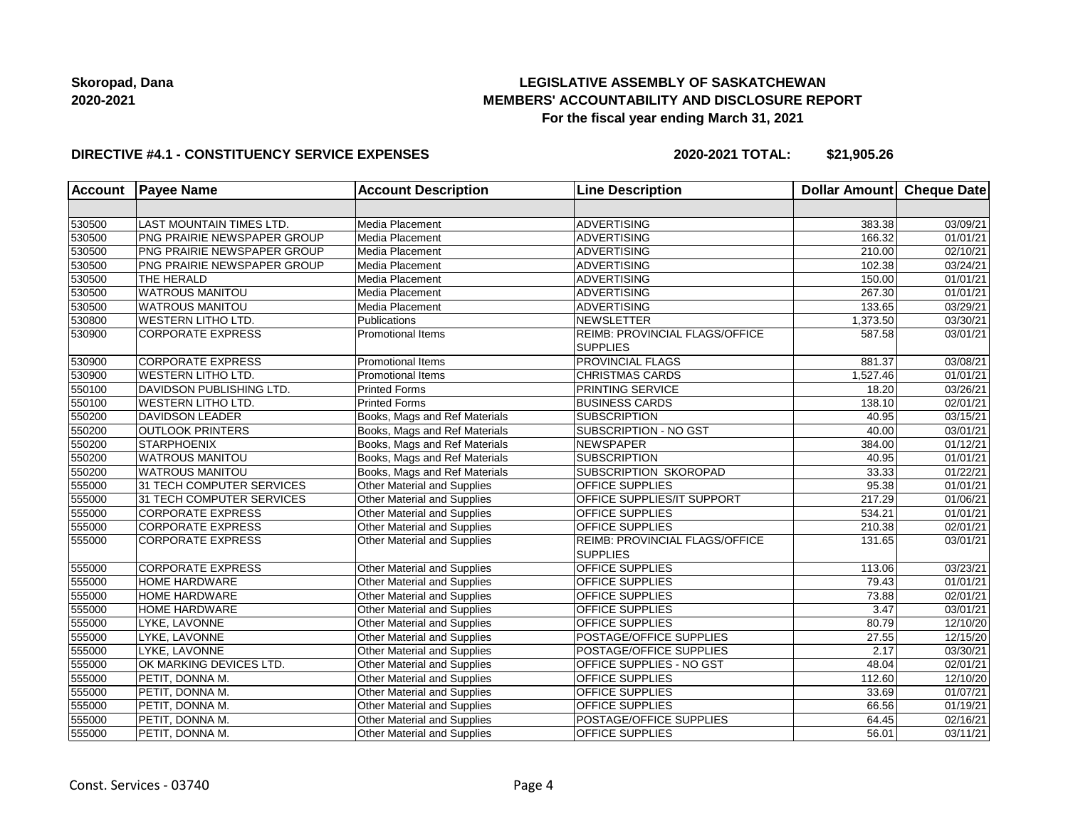## **LEGISLATIVE ASSEMBLY OF SASKATCHEWAN MEMBERS' ACCOUNTABILITY AND DISCLOSURE REPORT For the fiscal year ending March 31, 2021**

#### **DIRECTIVE #4.1 - CONSTITUENCY SERVICE EXPENSES**

**2020-2021 TOTAL: \$21,905.26**

| <b>Account</b> | <b>Payee Name</b>           | <b>Account Description</b>         | <b>Line Description</b>                           | <b>Dollar Amount</b> | Cheque Date           |
|----------------|-----------------------------|------------------------------------|---------------------------------------------------|----------------------|-----------------------|
|                |                             |                                    |                                                   |                      |                       |
| 530500         | LAST MOUNTAIN TIMES LTD.    | Media Placement                    | <b>ADVERTISING</b>                                | 383.38               | 03/09/21              |
| 530500         | PNG PRAIRIE NEWSPAPER GROUP | Media Placement                    | <b>ADVERTISING</b>                                | 166.32               | 01/01/21              |
| 530500         | PNG PRAIRIE NEWSPAPER GROUP | Media Placement                    | ADVERTISING                                       | 210.00               | 02/10/21              |
| 530500         | PNG PRAIRIE NEWSPAPER GROUP | Media Placement                    | <b>ADVERTISING</b>                                | 102.38               | 03/24/21              |
| 530500         | THE HERALD                  | Media Placement                    | <b>ADVERTISING</b>                                | 150.00               | 01/01/21              |
| 530500         | <b>WATROUS MANITOU</b>      | Media Placement                    | <b>ADVERTISING</b>                                | 267.30               | 01/01/21              |
| 530500         | <b>WATROUS MANITOU</b>      | Media Placement                    | <b>ADVERTISING</b>                                | 133.65               | 03/29/21              |
| 530800         | <b>WESTERN LITHO LTD.</b>   | Publications                       | NEWSLETTER                                        | 1,373.50             | 03/30/21              |
| 530900         | <b>CORPORATE EXPRESS</b>    | <b>Promotional Items</b>           | REIMB: PROVINCIAL FLAGS/OFFICE<br><b>SUPPLIES</b> | 587.58               | 03/01/21              |
| 530900         | <b>CORPORATE EXPRESS</b>    | <b>Promotional Items</b>           | PROVINCIAL FLAGS                                  | 881.37               | 03/08/21              |
| 530900         | <b>WESTERN LITHO LTD.</b>   | Promotional Items                  | <b>CHRISTMAS CARDS</b>                            | 1,527.46             | 01/01/21              |
| 550100         | DAVIDSON PUBLISHING LTD.    | <b>Printed Forms</b>               | PRINTING SERVICE                                  | 18.20                | 03/26/21              |
| 550100         | WESTERN LITHO LTD.          | <b>Printed Forms</b>               | <b>BUSINESS CARDS</b>                             | 138.10               | 02/01/21              |
| 550200         | <b>DAVIDSON LEADER</b>      | Books, Mags and Ref Materials      | <b>SUBSCRIPTION</b>                               | 40.95                | 03/15/21              |
| 550200         | <b>OUTLOOK PRINTERS</b>     | Books, Mags and Ref Materials      | SUBSCRIPTION - NO GST                             | 40.00                | $\overline{03}/01/21$ |
| 550200         | <b>STARPHOENIX</b>          | Books, Mags and Ref Materials      | <b>NEWSPAPER</b>                                  | 384.00               | 01/12/21              |
| 550200         | <b>WATROUS MANITOU</b>      | Books, Mags and Ref Materials      | <b>SUBSCRIPTION</b>                               | 40.95                | 01/01/21              |
| 550200         | <b>WATROUS MANITOU</b>      | Books, Mags and Ref Materials      | SUBSCRIPTION SKOROPAD                             | 33.33                | 01/22/21              |
| 555000         | 31 TECH COMPUTER SERVICES   | Other Material and Supplies        | <b>OFFICE SUPPLIES</b>                            | 95.38                | 01/01/21              |
| 555000         | 31 TECH COMPUTER SERVICES   | Other Material and Supplies        | OFFICE SUPPLIES/IT SUPPORT                        | 217.29               | 01/06/21              |
| 555000         | <b>CORPORATE EXPRESS</b>    | Other Material and Supplies        | OFFICE SUPPLIES                                   | 534.21               | 01/01/21              |
| 555000         | <b>CORPORATE EXPRESS</b>    | Other Material and Supplies        | OFFICE SUPPLIES                                   | 210.38               | 02/01/21              |
| 555000         | <b>CORPORATE EXPRESS</b>    | Other Material and Supplies        | REIMB: PROVINCIAL FLAGS/OFFICE<br><b>SUPPLIES</b> | 131.65               | 03/01/21              |
| 555000         | <b>CORPORATE EXPRESS</b>    | Other Material and Supplies        | OFFICE SUPPLIES                                   | 113.06               | 03/23/21              |
| 555000         | <b>HOME HARDWARE</b>        | <b>Other Material and Supplies</b> | OFFICE SUPPLIES                                   | 79.43                | 01/01/21              |
| 555000         | <b>HOME HARDWARE</b>        | Other Material and Supplies        | OFFICE SUPPLIES                                   | 73.88                | 02/01/21              |
| 555000         | <b>HOME HARDWARE</b>        | Other Material and Supplies        | OFFICE SUPPLIES                                   | 3.47                 | 03/01/21              |
| 555000         | LYKE, LAVONNE               | Other Material and Supplies        | OFFICE SUPPLIES                                   | 80.79                | 12/10/20              |
| 555000         | LYKE, LAVONNE               | Other Material and Supplies        | POSTAGE/OFFICE SUPPLIES                           | 27.55                | 12/15/20              |
| 555000         | LYKE. LAVONNE               | Other Material and Supplies        | POSTAGE/OFFICE SUPPLIES                           | 2.17                 | 03/30/21              |
| 555000         | OK MARKING DEVICES LTD.     | Other Material and Supplies        | OFFICE SUPPLIES - NO GST                          | 48.04                | 02/01/21              |
| 555000         | PETIT, DONNA M.             | Other Material and Supplies        | OFFICE SUPPLIES                                   | 112.60               | 12/10/20              |
| 555000         | PETIT, DONNA M.             | Other Material and Supplies        | OFFICE SUPPLIES                                   | 33.69                | 01/07/21              |
| 555000         | PETIT, DONNA M.             | Other Material and Supplies        | OFFICE SUPPLIES                                   | 66.56                | 01/19/21              |
| 555000         | PETIT, DONNA M.             | Other Material and Supplies        | POSTAGE/OFFICE SUPPLIES                           | 64.45                | 02/16/21              |
| 555000         | PETIT, DONNA M.             | Other Material and Supplies        | OFFICE SUPPLIES                                   | 56.01                | 03/11/21              |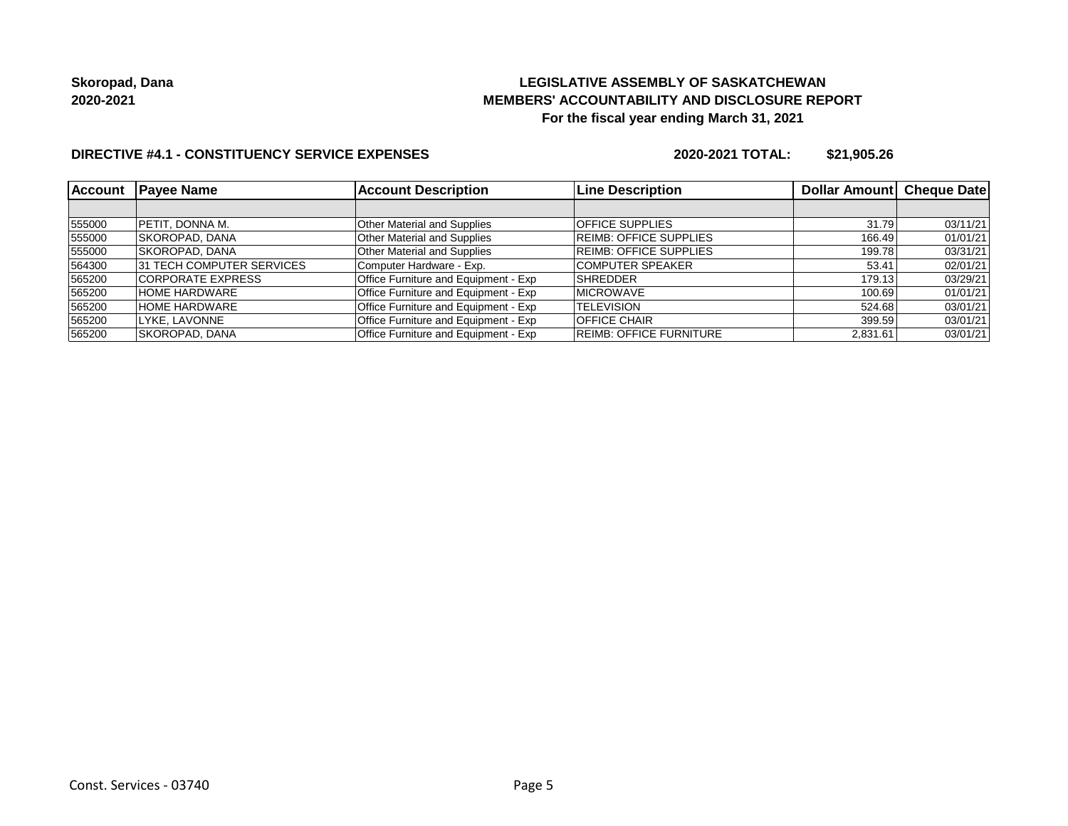## **LEGISLATIVE ASSEMBLY OF SASKATCHEWAN MEMBERS' ACCOUNTABILITY AND DISCLOSURE REPORT For the fiscal year ending March 31, 2021**

## **DIRECTIVE #4.1 - CONSTITUENCY SERVICE EXPENSES**

**2020-2021 TOTAL: \$21,905.26**

| <b>Account</b> | <b>Payee Name</b>                | <b>Account Description</b>           | <b>Line Description</b>        | Dollar Amount Cheque Date |          |
|----------------|----------------------------------|--------------------------------------|--------------------------------|---------------------------|----------|
|                |                                  |                                      |                                |                           |          |
| 555000         | <b>PETIT, DONNA M.</b>           | <b>Other Material and Supplies</b>   | OFFICE SUPPLIES                | 31.79                     | 03/11/21 |
| 555000         | <b>SKOROPAD, DANA</b>            | <b>Other Material and Supplies</b>   | <b>REIMB: OFFICE SUPPLIES</b>  | 166.49                    | 01/01/21 |
| 555000         | <b>SKOROPAD, DANA</b>            | <b>Other Material and Supplies</b>   | <b>REIMB: OFFICE SUPPLIES</b>  | 199.78                    | 03/31/21 |
| 564300         | <b>31 TECH COMPUTER SERVICES</b> | Computer Hardware - Exp.             | <b>COMPUTER SPEAKER</b>        | 53.41                     | 02/01/21 |
| 565200         | <b>CORPORATE EXPRESS</b>         | Office Furniture and Equipment - Exp | <b>SHREDDER</b>                | 179.13                    | 03/29/21 |
| 565200         | <b>HOME HARDWARE</b>             | Office Furniture and Equipment - Exp | <b>MICROWAVE</b>               | 100.69                    | 01/01/21 |
| 565200         | <b>HOME HARDWARE</b>             | Office Furniture and Equipment - Exp | <b>TELEVISION</b>              | 524.68                    | 03/01/21 |
| 565200         | LYKE, LAVONNE                    | Office Furniture and Equipment - Exp | <b>OFFICE CHAIR</b>            | 399.59                    | 03/01/21 |
| 565200         | SKOROPAD. DANA                   | Office Furniture and Equipment - Exp | <b>REIMB: OFFICE FURNITURE</b> | 2.831.61                  | 03/01/21 |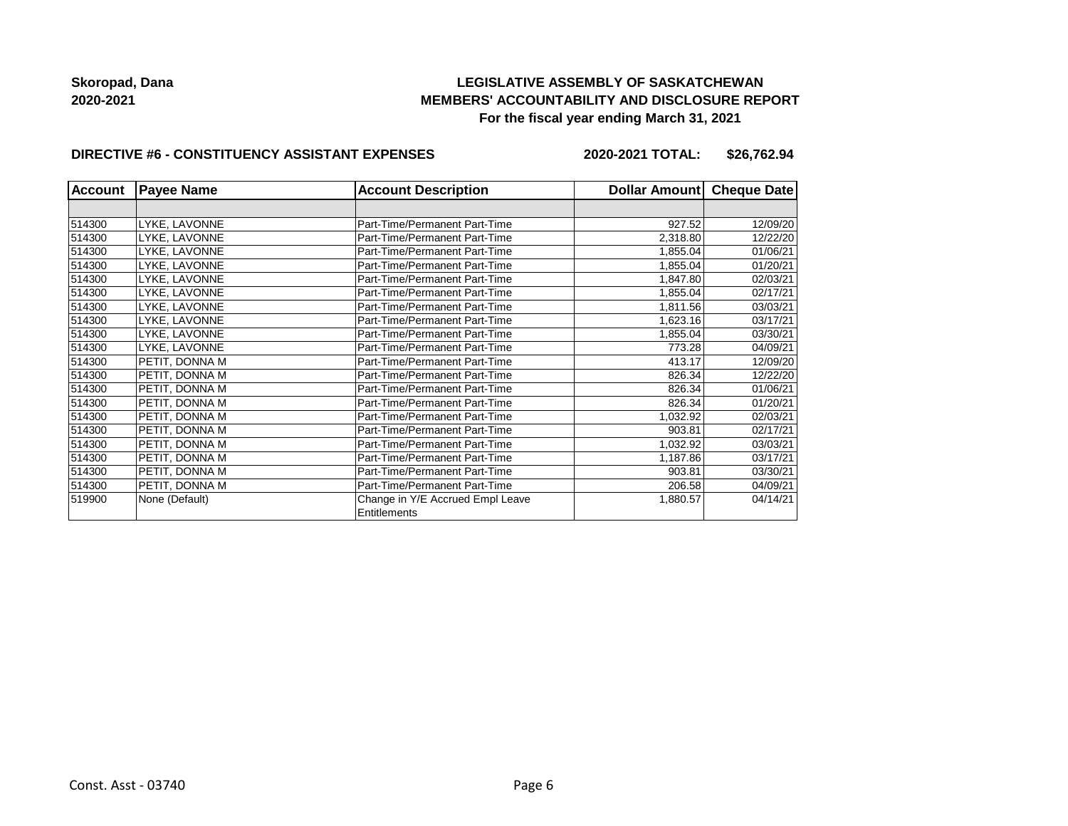## **LEGISLATIVE ASSEMBLY OF SASKATCHEWAN MEMBERS' ACCOUNTABILITY AND DISCLOSURE REPORT For the fiscal year ending March 31, 2021**

#### **DIRECTIVE #6 - CONSTITUENCY ASSISTANT EXPENSES**

**2020-2021 TOTAL: \$26,762.94**

| <b>Account</b> | <b>Payee Name</b> | <b>Account Description</b>                       | Dollar Amount Cheque Date |          |
|----------------|-------------------|--------------------------------------------------|---------------------------|----------|
|                |                   |                                                  |                           |          |
| 514300         | LYKE, LAVONNE     | Part-Time/Permanent Part-Time                    | 927.52                    | 12/09/20 |
| 514300         | LYKE, LAVONNE     | Part-Time/Permanent Part-Time                    | 2,318.80                  | 12/22/20 |
| 514300         | LYKE. LAVONNE     | Part-Time/Permanent Part-Time                    | 1,855.04                  | 01/06/21 |
| 514300         | LYKE, LAVONNE     | Part-Time/Permanent Part-Time                    | 1,855.04                  | 01/20/21 |
| 514300         | LYKE, LAVONNE     | Part-Time/Permanent Part-Time                    | 1,847.80                  | 02/03/21 |
| 514300         | LYKE, LAVONNE     | Part-Time/Permanent Part-Time                    | 1,855.04                  | 02/17/21 |
| 514300         | LYKE, LAVONNE     | Part-Time/Permanent Part-Time                    | 1,811.56                  | 03/03/21 |
| 514300         | LYKE, LAVONNE     | Part-Time/Permanent Part-Time                    | 1,623.16                  | 03/17/21 |
| 514300         | LYKE, LAVONNE     | Part-Time/Permanent Part-Time                    | 1,855.04                  | 03/30/21 |
| 514300         | LYKE, LAVONNE     | Part-Time/Permanent Part-Time                    | 773.28                    | 04/09/21 |
| 514300         | PETIT, DONNA M    | Part-Time/Permanent Part-Time                    | 413.17                    | 12/09/20 |
| 514300         | PETIT, DONNA M    | Part-Time/Permanent Part-Time                    | 826.34                    | 12/22/20 |
| 514300         | PETIT, DONNA M    | Part-Time/Permanent Part-Time                    | 826.34                    | 01/06/21 |
| 514300         | PETIT, DONNA M    | Part-Time/Permanent Part-Time                    | 826.34                    | 01/20/21 |
| 514300         | PETIT, DONNA M    | Part-Time/Permanent Part-Time                    | 1,032.92                  | 02/03/21 |
| 514300         | PETIT, DONNA M    | Part-Time/Permanent Part-Time                    | 903.81                    | 02/17/21 |
| 514300         | PETIT, DONNA M    | Part-Time/Permanent Part-Time                    | 1,032.92                  | 03/03/21 |
| 514300         | PETIT, DONNA M    | Part-Time/Permanent Part-Time                    | 1,187.86                  | 03/17/21 |
| 514300         | PETIT, DONNA M    | Part-Time/Permanent Part-Time                    | 903.81                    | 03/30/21 |
| 514300         | PETIT, DONNA M    | Part-Time/Permanent Part-Time                    | 206.58                    | 04/09/21 |
| 519900         | None (Default)    | Change in Y/E Accrued Empl Leave<br>Entitlements | 1,880.57                  | 04/14/21 |